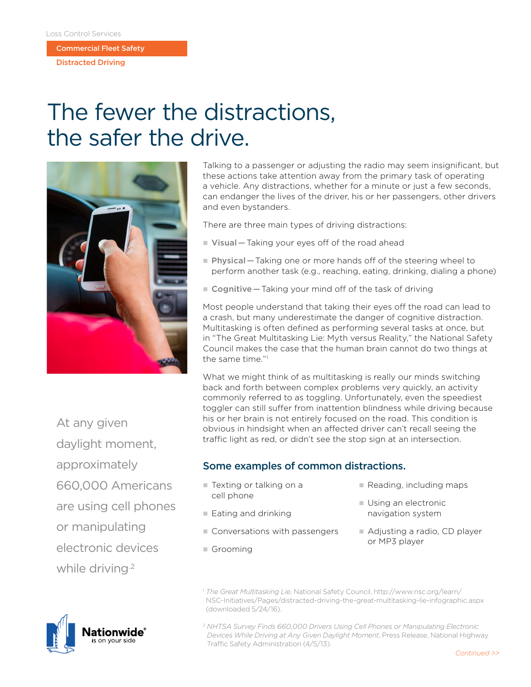Commercial Fleet Safety

Distracted Driving

## The fewer the distractions, the safer the drive.



Talking to a passenger or adjusting the radio may seem insignificant, but these actions take attention away from the primary task of operating a vehicle. Any distractions, whether for a minute or just a few seconds, can endanger the lives of the driver, his or her passengers, other drivers and even bystanders.

There are three main types of driving distractions:

- Visual Taking your eyes off of the road ahead
- **Physical** Taking one or more hands off of the steering wheel to perform another task (e.g., reaching, eating, drinking, dialing a phone)
- **Cognitive** Taking your mind off of the task of driving

Most people understand that taking their eyes off the road can lead to a crash, but many underestimate the danger of cognitive distraction. Multitasking is often defined as performing several tasks at once, but in "The Great Multitasking Lie: Myth versus Reality," the National Safety Council makes the case that the human brain cannot do two things at the same time."1

What we might think of as multitasking is really our minds switching back and forth between complex problems very quickly, an activity commonly referred to as toggling. Unfortunately, even the speediest toggler can still suffer from inattention blindness while driving because his or her brain is not entirely focused on the road. This condition is obvious in hindsight when an affected driver can't recall seeing the traffic light as red, or didn't see the stop sign at an intersection.

## Some examples of common distractions.

- Texting or talking on a cell phone
- $\blacksquare$  Reading, including maps
	- $\blacksquare$  Using an electronic navigation system
	- Adjusting a radio, CD player or MP3 player
- $\blacksquare$  Eating and drinking
	- $\blacksquare$  Conversations with passengers
- Grooming
	- <sup>1</sup> *The Great Multitasking Lie*, National Safety Council, http://www.nsc.org/learn/ NSC-Initiatives/Pages/distracted-driving-the-great-multitasking-lie-infographic.aspx (downloaded 5/24/16).

<sup>2</sup> *NHTSA Survey Finds 660,000 Drivers Using Cell Phones or Manipulating Electronic Devices While Driving at Any Given Daylight Moment*, Press Release, National Highway Traffic Safety Administration (4/5/13).

At any given daylight moment, approximately 660,000 Americans are using cell phones or manipulating electronic devices while driving<sup>2</sup>